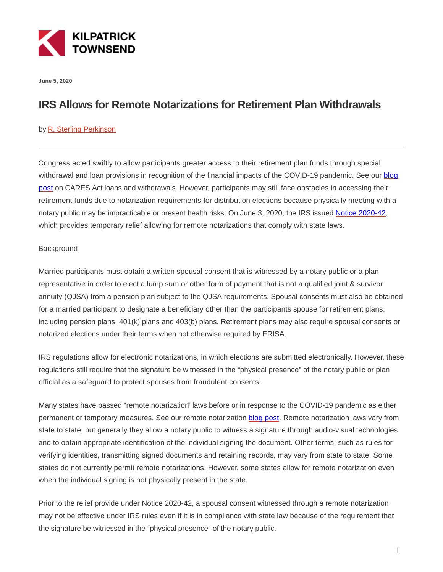

**June 5, 2020**

## **IRS Allows for Remote Notarizations for Retirement Plan Withdrawals**

## by [R. Sterling Perkinson](https://kilpatricktownsend.com/People/P/PerkinsonRSterling)

Congress acted swiftly to allow participants greater access to their retirement plan funds through special withdrawal and loan provisions in recognition of the financial impacts of the COVID-19 pandemic. See our [blog](https://www.kilpatricktownsend.com/en/Insights/Alert/2020/3/Provisions-Applicable-to-Tax-Qualified-Retirement-Plans) post on CARES Act loans and withdrawals. However, participants may still face obstacles in accessing their retirement funds due to notarization requirements for distribution elections because physically meeting with a notary public may be impracticable or present health risks. On June 3, 2020, the IRS issued [Notice 2020-42,](https://www.irs.gov/pub/irs-drop/n-20-42.pdf) which provides temporary relief allowing for remote notarizations that comply with state laws.

## **Background**

Married participants must obtain a written spousal consent that is witnessed by a notary public or a plan representative in order to elect a lump sum or other form of payment that is not a qualified joint & survivor annuity (QJSA) from a pension plan subject to the QJSA requirements. Spousal consents must also be obtained for a married participant to designate a beneficiary other than the participants spouse for retirement plans, including pension plans, 401(k) plans and 403(b) plans. Retirement plans may also require spousal consents or notarized elections under their terms when not otherwise required by ERISA.

IRS regulations allow for electronic notarizations, in which elections are submitted electronically. However, these regulations still require that the signature be witnessed in the "physical presence" of the notary public or plan official as a safeguard to protect spouses from fraudulent consents.

Many states have passed "remote notarization" laws before or in response to the COVID-19 pandemic as either permanent or temporary measures. See our remote notarization [blog post.](https://www.kilpatricktownsend.com/Insights/Alert/2020/3/Electronic-Signatures-and-Electronic-Delivery-of-Documents-as-a-Social-Distancing-Business-Continuity-Strategy) Remote notarization laws vary from state to state, but generally they allow a notary public to witness a signature through audio-visual technologies and to obtain appropriate identification of the individual signing the document. Other terms, such as rules for verifying identities, transmitting signed documents and retaining records, may vary from state to state. Some states do not currently permit remote notarizations. However, some states allow for remote notarization even when the individual signing is not physically present in the state.

Prior to the relief provide under Notice 2020-42, a spousal consent witnessed through a remote notarization may not be effective under IRS rules even if it is in compliance with state law because of the requirement that the signature be witnessed in the "physical presence" of the notary public.